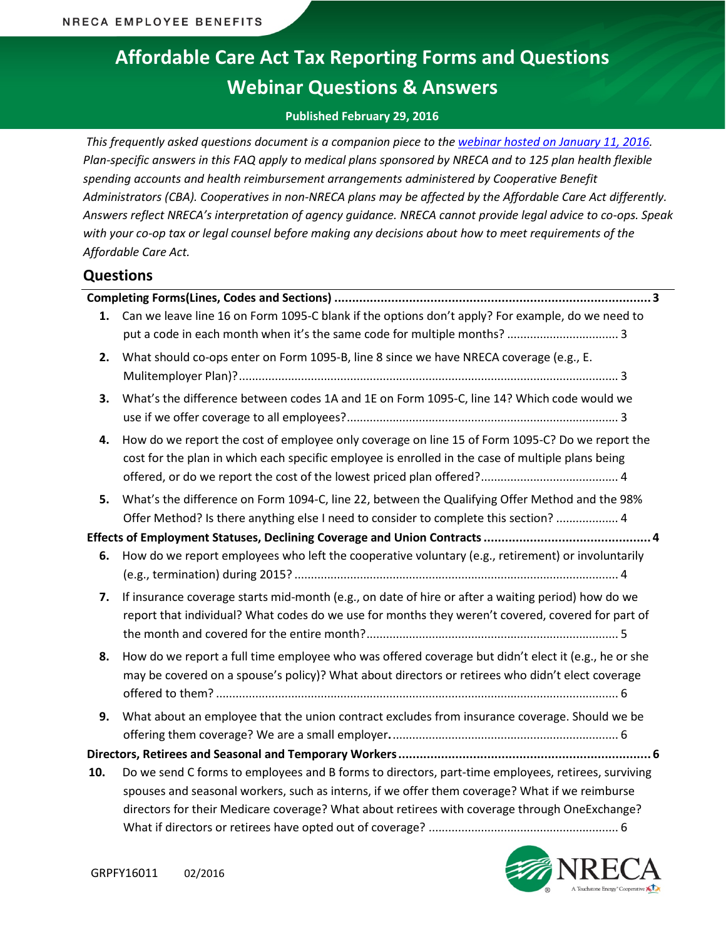# **Affordable Care Act Tax Reporting Forms and Questions Webinar Questions & Answers**

#### **Published February 29, 2016**

*This frequently asked questions document is a companion piece to the webinar [hosted on January 11, 2016.](https://www.cooperative.com/conferences-education/web-conferences/Pages/Affordable-Care-Act-Tax-Reporting-Forms-and-Questions.aspx) Plan-specific answers in this FAQ apply to medical plans sponsored by NRECA and to 125 plan health flexible spending accounts and health reimbursement arrangements administered by Cooperative Benefit Administrators (CBA). Cooperatives in non-NRECA plans may be affected by the Affordable Care Act differently. Answers reflect NRECA's interpretation of agency guidance. NRECA cannot provide legal advice to co-ops. Speak with your co-op tax or legal counsel before making any decisions about how to meet requirements of the Affordable Care Act.*

### **Questions**

| . 3 |                                                                                                     |  |  |
|-----|-----------------------------------------------------------------------------------------------------|--|--|
| 1.  | Can we leave line 16 on Form 1095-C blank if the options don't apply? For example, do we need to    |  |  |
|     |                                                                                                     |  |  |
| 2.  | What should co-ops enter on Form 1095-B, line 8 since we have NRECA coverage (e.g., E.              |  |  |
|     |                                                                                                     |  |  |
| 3.  | What's the difference between codes 1A and 1E on Form 1095-C, line 14? Which code would we          |  |  |
|     |                                                                                                     |  |  |
| 4.  | How do we report the cost of employee only coverage on line 15 of Form 1095-C? Do we report the     |  |  |
|     | cost for the plan in which each specific employee is enrolled in the case of multiple plans being   |  |  |
|     |                                                                                                     |  |  |
| 5.  | What's the difference on Form 1094-C, line 22, between the Qualifying Offer Method and the 98%      |  |  |
|     | Offer Method? Is there anything else I need to consider to complete this section?  4                |  |  |
|     |                                                                                                     |  |  |
| 6.  | How do we report employees who left the cooperative voluntary (e.g., retirement) or involuntarily   |  |  |
|     |                                                                                                     |  |  |
| 7.  | If insurance coverage starts mid-month (e.g., on date of hire or after a waiting period) how do we  |  |  |
|     | report that individual? What codes do we use for months they weren't covered, covered for part of   |  |  |
|     |                                                                                                     |  |  |
| 8.  | How do we report a full time employee who was offered coverage but didn't elect it (e.g., he or she |  |  |
|     | may be covered on a spouse's policy)? What about directors or retirees who didn't elect coverage    |  |  |
|     |                                                                                                     |  |  |
| 9.  | What about an employee that the union contract excludes from insurance coverage. Should we be       |  |  |
|     |                                                                                                     |  |  |
|     |                                                                                                     |  |  |
| 10. | Do we send C forms to employees and B forms to directors, part-time employees, retirees, surviving  |  |  |
|     | spouses and seasonal workers, such as interns, if we offer them coverage? What if we reimburse      |  |  |
|     | directors for their Medicare coverage? What about retirees with coverage through OneExchange?       |  |  |
|     |                                                                                                     |  |  |

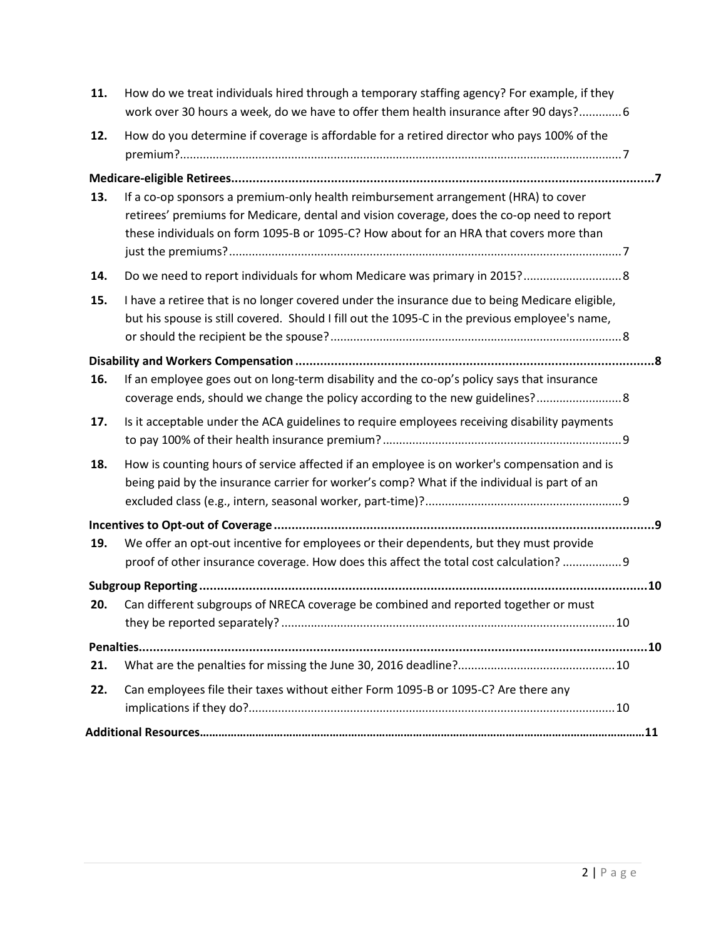<span id="page-1-0"></span>

| 11. | How do we treat individuals hired through a temporary staffing agency? For example, if they<br>work over 30 hours a week, do we have to offer them health insurance after 90 days? 6             |  |
|-----|--------------------------------------------------------------------------------------------------------------------------------------------------------------------------------------------------|--|
| 12. | How do you determine if coverage is affordable for a retired director who pays 100% of the                                                                                                       |  |
|     |                                                                                                                                                                                                  |  |
| 13. | If a co-op sponsors a premium-only health reimbursement arrangement (HRA) to cover                                                                                                               |  |
|     | retirees' premiums for Medicare, dental and vision coverage, does the co-op need to report<br>these individuals on form 1095-B or 1095-C? How about for an HRA that covers more than             |  |
| 14. |                                                                                                                                                                                                  |  |
| 15. | I have a retiree that is no longer covered under the insurance due to being Medicare eligible,<br>but his spouse is still covered. Should I fill out the 1095-C in the previous employee's name, |  |
|     |                                                                                                                                                                                                  |  |
| 16. | If an employee goes out on long-term disability and the co-op's policy says that insurance<br>coverage ends, should we change the policy according to the new guidelines?                        |  |
| 17. | Is it acceptable under the ACA guidelines to require employees receiving disability payments                                                                                                     |  |
| 18. | How is counting hours of service affected if an employee is on worker's compensation and is<br>being paid by the insurance carrier for worker's comp? What if the individual is part of an       |  |
|     |                                                                                                                                                                                                  |  |
| 19. | We offer an opt-out incentive for employees or their dependents, but they must provide<br>proof of other insurance coverage. How does this affect the total cost calculation?  9                 |  |
|     |                                                                                                                                                                                                  |  |
| 20. | Can different subgroups of NRECA coverage be combined and reported together or must                                                                                                              |  |
|     |                                                                                                                                                                                                  |  |
| 21. |                                                                                                                                                                                                  |  |
| 22. | Can employees file their taxes without either Form 1095-B or 1095-C? Are there any                                                                                                               |  |
|     |                                                                                                                                                                                                  |  |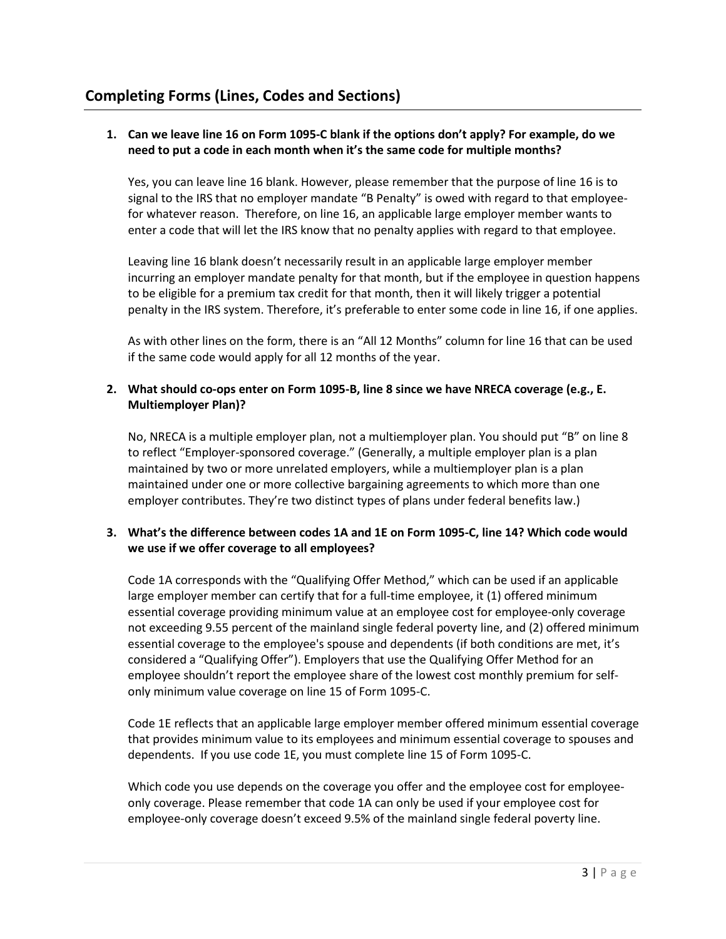# <span id="page-2-0"></span>**1. Can we leave line 16 on Form 1095-C blank if the options don't apply? For example, do we need to put a code in each month when it's the same code for multiple months?**

Yes, you can leave line 16 blank. However, please remember that the purpose of line 16 is to signal to the IRS that no employer mandate "B Penalty" is owed with regard to that employeefor whatever reason. Therefore, on line 16, an applicable large employer member wants to enter a code that will let the IRS know that no penalty applies with regard to that employee.

Leaving line 16 blank doesn't necessarily result in an applicable large employer member incurring an employer mandate penalty for that month, but if the employee in question happens to be eligible for a premium tax credit for that month, then it will likely trigger a potential penalty in the IRS system. Therefore, it's preferable to enter some code in line 16, if one applies.

As with other lines on the form, there is an "All 12 Months" column for line 16 that can be used if the same code would apply for all 12 months of the year.

#### <span id="page-2-1"></span>**2. What should co-ops enter on Form 1095-B, line 8 since we have NRECA coverage (e.g., E. Multiemployer Plan)?**

No, NRECA is a multiple employer plan, not a multiemployer plan. You should put "B" on line 8 to reflect "Employer-sponsored coverage." (Generally, a multiple employer plan is a plan maintained by two or more unrelated employers, while a multiemployer plan is a plan maintained under one or more collective bargaining agreements to which more than one employer contributes. They're two distinct types of plans under federal benefits law.)

# <span id="page-2-2"></span>**3. What's the difference between codes 1A and 1E on Form 1095-C, line 14? Which code would we use if we offer coverage to all employees?**

Code 1A corresponds with the "Qualifying Offer Method," which can be used if an applicable large employer member can certify that for a full-time employee, it (1) offered minimum essential coverage providing minimum value at an employee cost for employee-only coverage not exceeding 9.55 percent of the mainland single federal poverty line, and (2) offered minimum essential coverage to the employee's spouse and dependents (if both conditions are met, it's considered a "Qualifying Offer"). Employers that use the Qualifying Offer Method for an employee shouldn't report the employee share of the lowest cost monthly premium for selfonly minimum value coverage on line 15 of Form 1095-C.

Code 1E reflects that an applicable large employer member offered minimum essential coverage that provides minimum value to its employees and minimum essential coverage to spouses and dependents. If you use code 1E, you must complete line 15 of Form 1095-C.

Which code you use depends on the coverage you offer and the employee cost for employeeonly coverage. Please remember that code 1A can only be used if your employee cost for employee-only coverage doesn't exceed 9.5% of the mainland single federal poverty line.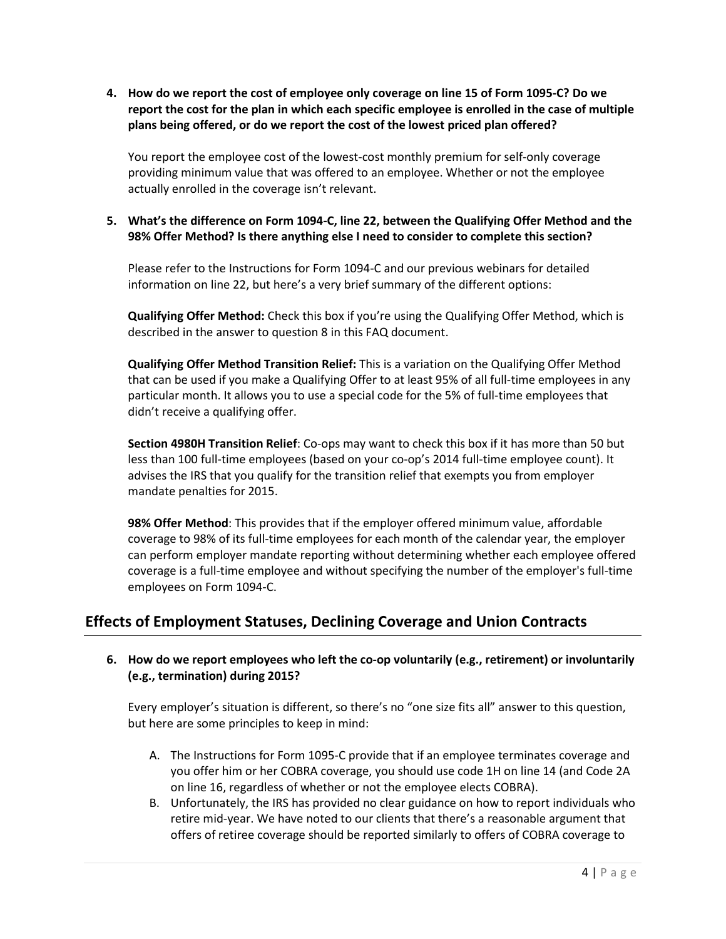<span id="page-3-0"></span>**4. How do we report the cost of employee only coverage on line 15 of Form 1095-C? Do we report the cost for the plan in which each specific employee is enrolled in the case of multiple plans being offered, or do we report the cost of the lowest priced plan offered?**

You report the employee cost of the lowest-cost monthly premium for self-only coverage providing minimum value that was offered to an employee. Whether or not the employee actually enrolled in the coverage isn't relevant.

### <span id="page-3-1"></span>**5. What's the difference on Form 1094-C, line 22, between the Qualifying Offer Method and the 98% Offer Method? Is there anything else I need to consider to complete this section?**

Please refer to the Instructions for Form 1094-C and our previous webinars for detailed information on line 22, but here's a very brief summary of the different options:

**Qualifying Offer Method:** Check this box if you're using the Qualifying Offer Method, which is described in the answer to question 8 in this FAQ document.

**Qualifying Offer Method Transition Relief:** This is a variation on the Qualifying Offer Method that can be used if you make a Qualifying Offer to at least 95% of all full-time employees in any particular month. It allows you to use a special code for the 5% of full-time employees that didn't receive a qualifying offer.

**Section 4980H Transition Relief**: Co-ops may want to check this box if it has more than 50 but less than 100 full-time employees (based on your co-op's 2014 full-time employee count). It advises the IRS that you qualify for the transition relief that exempts you from employer mandate penalties for 2015.

**98% Offer Method**: This provides that if the employer offered minimum value, affordable coverage to 98% of its full-time employees for each month of the calendar year, the employer can perform employer mandate reporting without determining whether each employee offered coverage is a full-time employee and without specifying the number of the employer's full-time employees on Form 1094-C.

# <span id="page-3-2"></span>**Effects of Employment Statuses, Declining Coverage and Union Contracts**

#### <span id="page-3-3"></span>**6. How do we report employees who left the co-op voluntarily (e.g., retirement) or involuntarily (e.g., termination) during 2015?**

Every employer's situation is different, so there's no "one size fits all" answer to this question, but here are some principles to keep in mind:

- A. The Instructions for Form 1095-C provide that if an employee terminates coverage and you offer him or her COBRA coverage, you should use code 1H on line 14 (and Code 2A on line 16, regardless of whether or not the employee elects COBRA).
- B. Unfortunately, the IRS has provided no clear guidance on how to report individuals who retire mid-year. We have noted to our clients that there's a reasonable argument that offers of retiree coverage should be reported similarly to offers of COBRA coverage to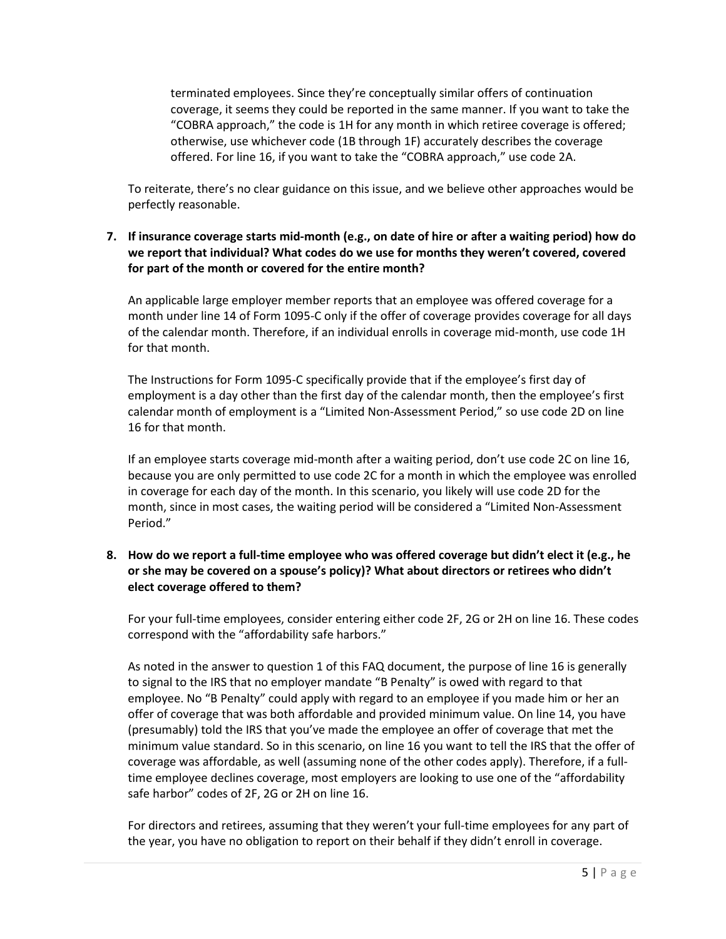terminated employees. Since they're conceptually similar offers of continuation coverage, it seems they could be reported in the same manner. If you want to take the "COBRA approach," the code is 1H for any month in which retiree coverage is offered; otherwise, use whichever code (1B through 1F) accurately describes the coverage offered. For line 16, if you want to take the "COBRA approach," use code 2A.

To reiterate, there's no clear guidance on this issue, and we believe other approaches would be perfectly reasonable.

## <span id="page-4-0"></span>**7. If insurance coverage starts mid-month (e.g., on date of hire or after a waiting period) how do we report that individual? What codes do we use for months they weren't covered, covered for part of the month or covered for the entire month?**

An applicable large employer member reports that an employee was offered coverage for a month under line 14 of Form 1095-C only if the offer of coverage provides coverage for all days of the calendar month. Therefore, if an individual enrolls in coverage mid-month, use code 1H for that month.

The Instructions for Form 1095-C specifically provide that if the employee's first day of employment is a day other than the first day of the calendar month, then the employee's first calendar month of employment is a "Limited Non-Assessment Period," so use code 2D on line 16 for that month.

If an employee starts coverage mid-month after a waiting period, don't use code 2C on line 16, because you are only permitted to use code 2C for a month in which the employee was enrolled in coverage for each day of the month. In this scenario, you likely will use code 2D for the month, since in most cases, the waiting period will be considered a "Limited Non-Assessment Period."

# <span id="page-4-1"></span>**8. How do we report a full-time employee who was offered coverage but didn't elect it (e.g., he or she may be covered on a spouse's policy)? What about directors or retirees who didn't elect coverage offered to them?**

For your full-time employees, consider entering either code 2F, 2G or 2H on line 16. These codes correspond with the "affordability safe harbors."

As noted in the answer to question 1 of this FAQ document, the purpose of line 16 is generally to signal to the IRS that no employer mandate "B Penalty" is owed with regard to that employee. No "B Penalty" could apply with regard to an employee if you made him or her an offer of coverage that was both affordable and provided minimum value. On line 14, you have (presumably) told the IRS that you've made the employee an offer of coverage that met the minimum value standard. So in this scenario, on line 16 you want to tell the IRS that the offer of coverage was affordable, as well (assuming none of the other codes apply). Therefore, if a fulltime employee declines coverage, most employers are looking to use one of the "affordability safe harbor" codes of 2F, 2G or 2H on line 16.

For directors and retirees, assuming that they weren't your full-time employees for any part of the year, you have no obligation to report on their behalf if they didn't enroll in coverage.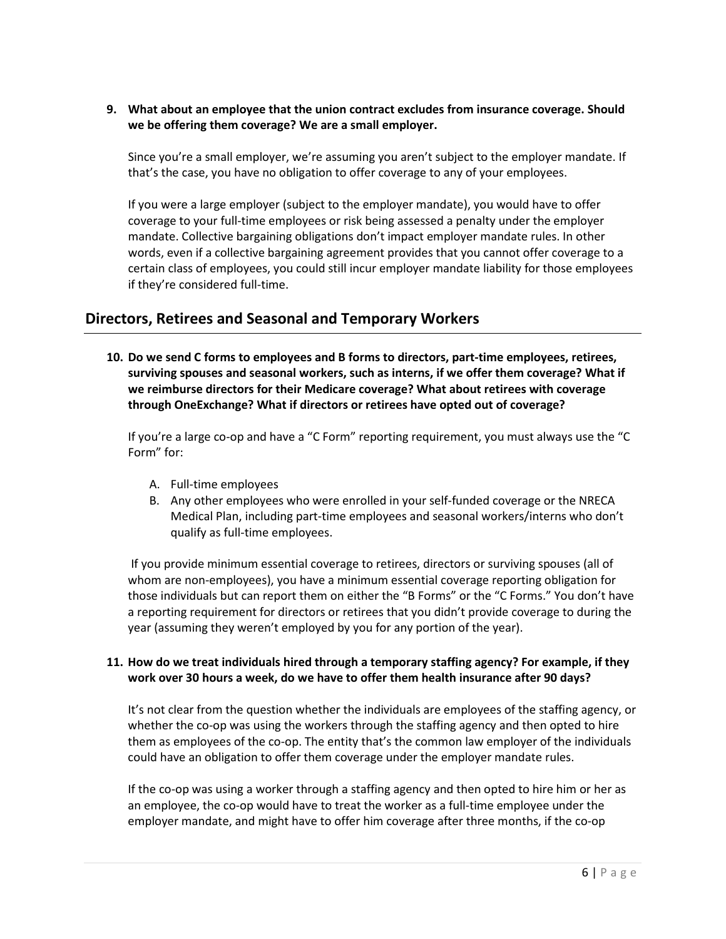<span id="page-5-0"></span>**9. What about an employee that the union contract excludes from insurance coverage. Should we be offering them coverage? We are a small employer.**

Since you're a small employer, we're assuming you aren't subject to the employer mandate. If that's the case, you have no obligation to offer coverage to any of your employees.

If you were a large employer (subject to the employer mandate), you would have to offer coverage to your full-time employees or risk being assessed a penalty under the employer mandate. Collective bargaining obligations don't impact employer mandate rules. In other words, even if a collective bargaining agreement provides that you cannot offer coverage to a certain class of employees, you could still incur employer mandate liability for those employees if they're considered full-time.

# <span id="page-5-1"></span>**Directors, Retirees and Seasonal and Temporary Workers**

**10. Do we send C forms to employees and B forms to directors, part-time employees, retirees, surviving spouses and seasonal workers, such as interns, if we offer them coverage? What if we reimburse directors for their Medicare coverage? What about retirees with coverage through OneExchange? What if directors or retirees have opted out of coverage?**

If you're a large co-op and have a "C Form" reporting requirement, you must always use the "C Form" for:

- A. Full-time employees
- B. Any other employees who were enrolled in your self-funded coverage or the NRECA Medical Plan, including part-time employees and seasonal workers/interns who don't qualify as full-time employees.

If you provide minimum essential coverage to retirees, directors or surviving spouses (all of whom are non-employees), you have a minimum essential coverage reporting obligation for those individuals but can report them on either the "B Forms" or the "C Forms." You don't have a reporting requirement for directors or retirees that you didn't provide coverage to during the year (assuming they weren't employed by you for any portion of the year).

#### <span id="page-5-2"></span>**11. How do we treat individuals hired through a temporary staffing agency? For example, if they work over 30 hours a week, do we have to offer them health insurance after 90 days?**

It's not clear from the question whether the individuals are employees of the staffing agency, or whether the co-op was using the workers through the staffing agency and then opted to hire them as employees of the co-op. The entity that's the common law employer of the individuals could have an obligation to offer them coverage under the employer mandate rules.

If the co-op was using a worker through a staffing agency and then opted to hire him or her as an employee, the co-op would have to treat the worker as a full-time employee under the employer mandate, and might have to offer him coverage after three months, if the co-op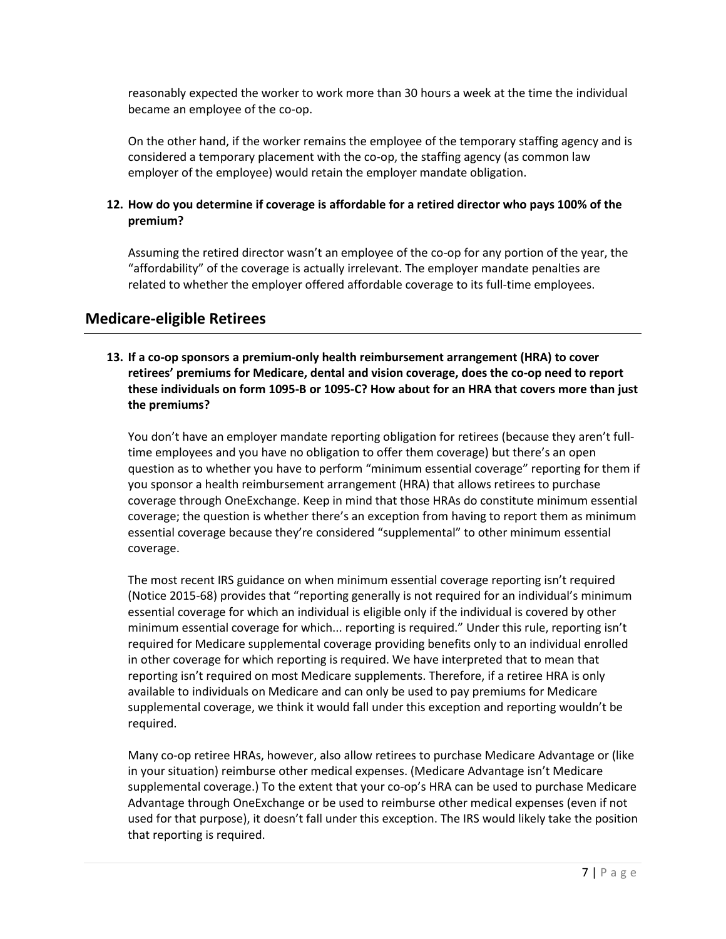reasonably expected the worker to work more than 30 hours a week at the time the individual became an employee of the co-op.

On the other hand, if the worker remains the employee of the temporary staffing agency and is considered a temporary placement with the co-op, the staffing agency (as common law employer of the employee) would retain the employer mandate obligation.

# <span id="page-6-0"></span>**12. How do you determine if coverage is affordable for a retired director who pays 100% of the premium?**

Assuming the retired director wasn't an employee of the co-op for any portion of the year, the "affordability" of the coverage is actually irrelevant. The employer mandate penalties are related to whether the employer offered affordable coverage to its full-time employees.

# <span id="page-6-1"></span>**Medicare-eligible Retirees**

### **13. If a co-op sponsors a premium-only health reimbursement arrangement (HRA) to cover retirees' premiums for Medicare, dental and vision coverage, does the co-op need to report these individuals on form 1095-B or 1095-C? How about for an HRA that covers more than just the premiums?**

You don't have an employer mandate reporting obligation for retirees (because they aren't fulltime employees and you have no obligation to offer them coverage) but there's an open question as to whether you have to perform "minimum essential coverage" reporting for them if you sponsor a health reimbursement arrangement (HRA) that allows retirees to purchase coverage through OneExchange. Keep in mind that those HRAs do constitute minimum essential coverage; the question is whether there's an exception from having to report them as minimum essential coverage because they're considered "supplemental" to other minimum essential coverage.

The most recent IRS guidance on when minimum essential coverage reporting isn't required (Notice 2015-68) provides that "reporting generally is not required for an individual's minimum essential coverage for which an individual is eligible only if the individual is covered by other minimum essential coverage for which... reporting is required." Under this rule, reporting isn't required for Medicare supplemental coverage providing benefits only to an individual enrolled in other coverage for which reporting is required. We have interpreted that to mean that reporting isn't required on most Medicare supplements. Therefore, if a retiree HRA is only available to individuals on Medicare and can only be used to pay premiums for Medicare supplemental coverage, we think it would fall under this exception and reporting wouldn't be required.

Many co-op retiree HRAs, however, also allow retirees to purchase Medicare Advantage or (like in your situation) reimburse other medical expenses. (Medicare Advantage isn't Medicare supplemental coverage.) To the extent that your co-op's HRA can be used to purchase Medicare Advantage through OneExchange or be used to reimburse other medical expenses (even if not used for that purpose), it doesn't fall under this exception. The IRS would likely take the position that reporting is required.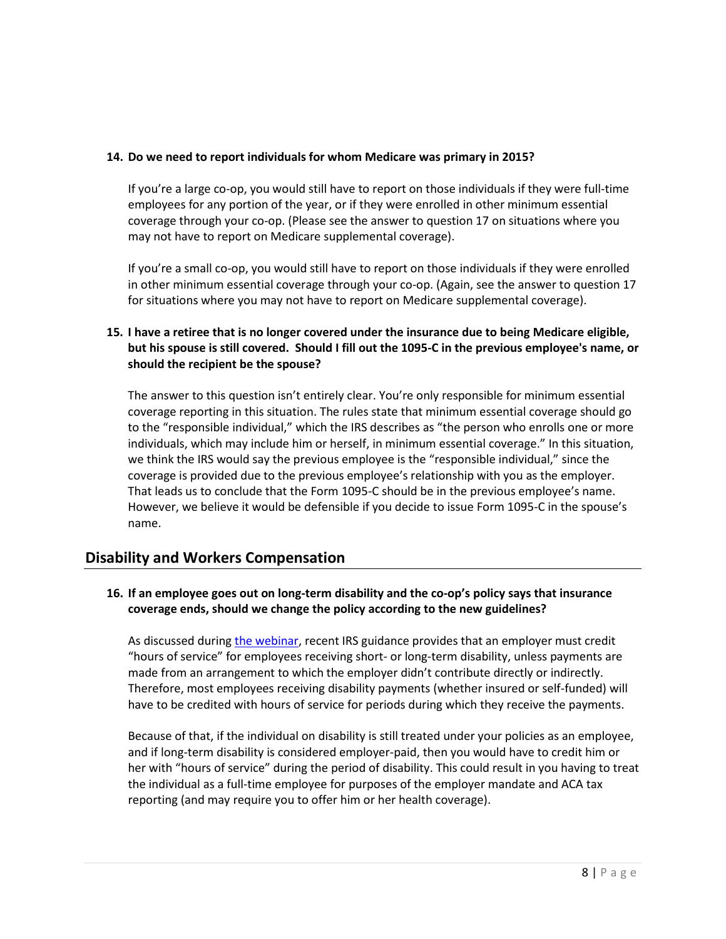#### <span id="page-7-0"></span>**14. Do we need to report individuals for whom Medicare was primary in 2015?**

If you're a large co-op, you would still have to report on those individuals if they were full-time employees for any portion of the year, or if they were enrolled in other minimum essential coverage through your co-op. (Please see the answer to question 17 on situations where you may not have to report on Medicare supplemental coverage).

If you're a small co-op, you would still have to report on those individuals if they were enrolled in other minimum essential coverage through your co-op. (Again, see the answer to question 17 for situations where you may not have to report on Medicare supplemental coverage).

# <span id="page-7-1"></span>**15. I have a retiree that is no longer covered under the insurance due to being Medicare eligible, but his spouse is still covered. Should I fill out the 1095-C in the previous employee's name, or should the recipient be the spouse?**

The answer to this question isn't entirely clear. You're only responsible for minimum essential coverage reporting in this situation. The rules state that minimum essential coverage should go to the "responsible individual," which the IRS describes as "the person who enrolls one or more individuals, which may include him or herself, in minimum essential coverage." In this situation, we think the IRS would say the previous employee is the "responsible individual," since the coverage is provided due to the previous employee's relationship with you as the employer. That leads us to conclude that the Form 1095-C should be in the previous employee's name. However, we believe it would be defensible if you decide to issue Form 1095-C in the spouse's name.

# **Disability and Workers Compensation**

# **16. If an employee goes out on long-term disability and the co-op's policy says that insurance coverage ends, should we change the policy according to the new guidelines?**

As discussed during [the webinar,](https://www.cooperative.com/conferences-education/web-conferences/Pages/Affordable-Care-Act-Tax-Reporting-Forms-and-Questions.aspx) recent IRS guidance provides that an employer must credit "hours of service" for employees receiving short- or long-term disability, unless payments are made from an arrangement to which the employer didn't contribute directly or indirectly. Therefore, most employees receiving disability payments (whether insured or self-funded) will have to be credited with hours of service for periods during which they receive the payments.

Because of that, if the individual on disability is still treated under your policies as an employee, and if long-term disability is considered employer-paid, then you would have to credit him or her with "hours of service" during the period of disability. This could result in you having to treat the individual as a full-time employee for purposes of the employer mandate and ACA tax reporting (and may require you to offer him or her health coverage).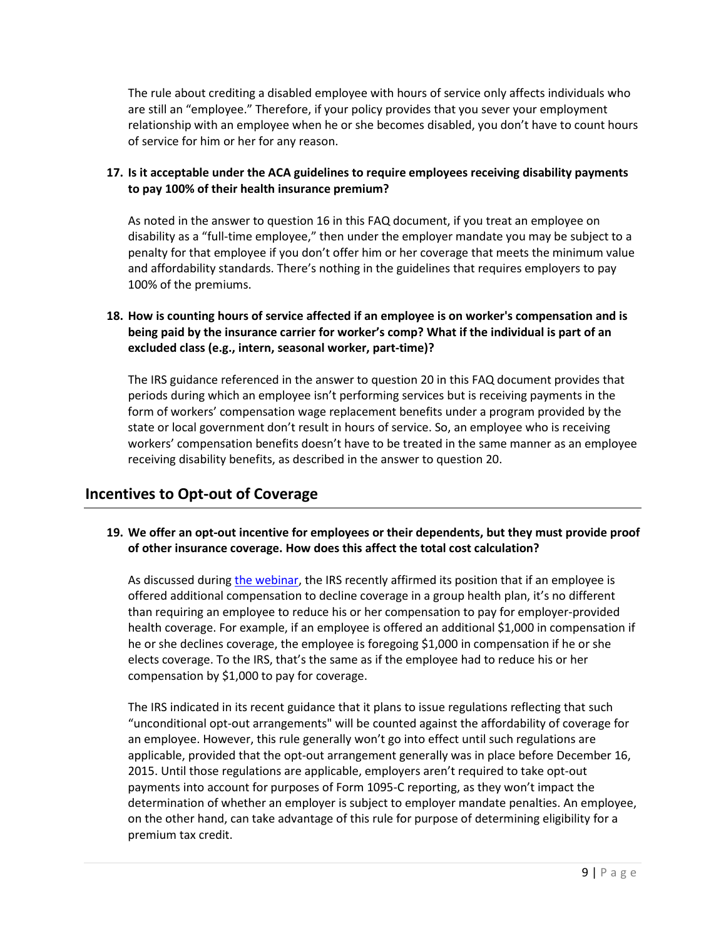The rule about crediting a disabled employee with hours of service only affects individuals who are still an "employee." Therefore, if your policy provides that you sever your employment relationship with an employee when he or she becomes disabled, you don't have to count hours of service for him or her for any reason.

# <span id="page-8-0"></span>**17. Is it acceptable under the ACA guidelines to require employees receiving disability payments to pay 100% of their health insurance premium?**

As noted in the answer to question 16 in this FAQ document, if you treat an employee on disability as a "full-time employee," then under the employer mandate you may be subject to a penalty for that employee if you don't offer him or her coverage that meets the minimum value and affordability standards. There's nothing in the guidelines that requires employers to pay 100% of the premiums.

# <span id="page-8-1"></span>**18. How is counting hours of service affected if an employee is on worker's compensation and is being paid by the insurance carrier for worker's comp? What if the individual is part of an excluded class (e.g., intern, seasonal worker, part-time)?**

The IRS guidance referenced in the answer to question 20 in this FAQ document provides that periods during which an employee isn't performing services but is receiving payments in the form of workers' compensation wage replacement benefits under a program provided by the state or local government don't result in hours of service. So, an employee who is receiving workers' compensation benefits doesn't have to be treated in the same manner as an employee receiving disability benefits, as described in the answer to question 20.

# <span id="page-8-2"></span>**Incentives to Opt-out of Coverage**

#### <span id="page-8-3"></span>**19. We offer an opt-out incentive for employees or their dependents, but they must provide proof of other insurance coverage. How does this affect the total cost calculation?**

As discussed during [the webinar,](https://www.cooperative.com/conferences-education/web-conferences/Pages/Affordable-Care-Act-Tax-Reporting-Forms-and-Questions.aspx) the IRS recently affirmed its position that if an employee is offered additional compensation to decline coverage in a group health plan, it's no different than requiring an employee to reduce his or her compensation to pay for employer-provided health coverage. For example, if an employee is offered an additional \$1,000 in compensation if he or she declines coverage, the employee is foregoing \$1,000 in compensation if he or she elects coverage. To the IRS, that's the same as if the employee had to reduce his or her compensation by \$1,000 to pay for coverage.

The IRS indicated in its recent guidance that it plans to issue regulations reflecting that such "unconditional opt-out arrangements" will be counted against the affordability of coverage for an employee. However, this rule generally won't go into effect until such regulations are applicable, provided that the opt-out arrangement generally was in place before December 16, 2015. Until those regulations are applicable, employers aren't required to take opt-out payments into account for purposes of Form 1095-C reporting, as they won't impact the determination of whether an employer is subject to employer mandate penalties. An employee, on the other hand, can take advantage of this rule for purpose of determining eligibility for a premium tax credit.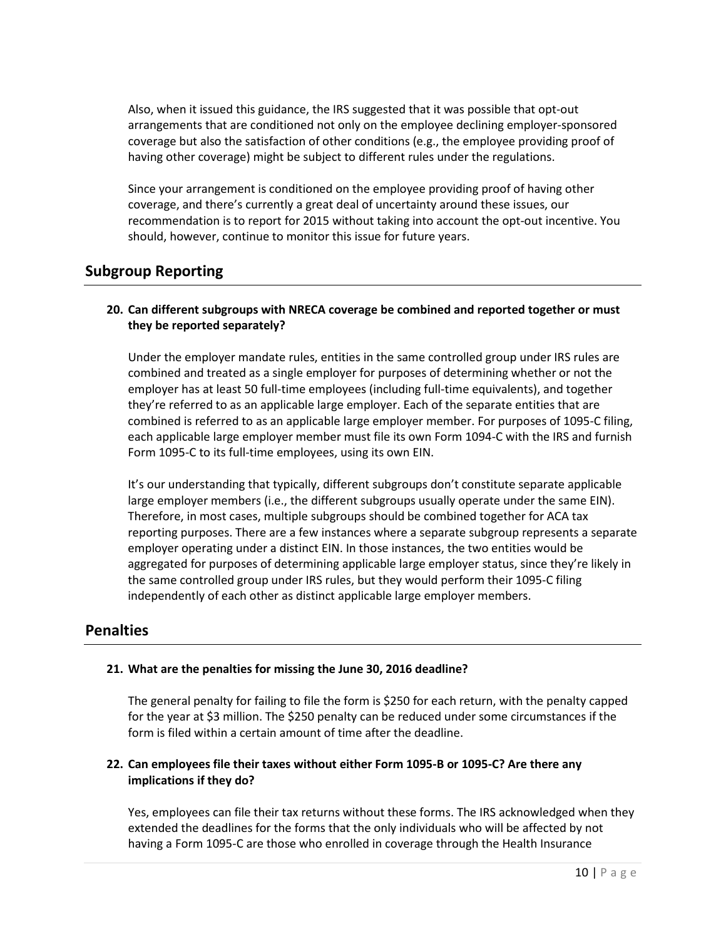Also, when it issued this guidance, the IRS suggested that it was possible that opt-out arrangements that are conditioned not only on the employee declining employer-sponsored coverage but also the satisfaction of other conditions (e.g., the employee providing proof of having other coverage) might be subject to different rules under the regulations.

Since your arrangement is conditioned on the employee providing proof of having other coverage, and there's currently a great deal of uncertainty around these issues, our recommendation is to report for 2015 without taking into account the opt-out incentive. You should, however, continue to monitor this issue for future years.

# <span id="page-9-0"></span>**Subgroup Reporting**

#### <span id="page-9-1"></span>**20. Can different subgroups with NRECA coverage be combined and reported together or must they be reported separately?**

Under the employer mandate rules, entities in the same controlled group under IRS rules are combined and treated as a single employer for purposes of determining whether or not the employer has at least 50 full-time employees (including full-time equivalents), and together they're referred to as an applicable large employer. Each of the separate entities that are combined is referred to as an applicable large employer member. For purposes of 1095-C filing, each applicable large employer member must file its own Form 1094-C with the IRS and furnish Form 1095-C to its full-time employees, using its own EIN.

It's our understanding that typically, different subgroups don't constitute separate applicable large employer members (i.e., the different subgroups usually operate under the same EIN). Therefore, in most cases, multiple subgroups should be combined together for ACA tax reporting purposes. There are a few instances where a separate subgroup represents a separate employer operating under a distinct EIN. In those instances, the two entities would be aggregated for purposes of determining applicable large employer status, since they're likely in the same controlled group under IRS rules, but they would perform their 1095-C filing independently of each other as distinct applicable large employer members.

# **Penalties**

# <span id="page-9-2"></span>**21. What are the penalties for missing the June 30, 2016 deadline?**

The general penalty for failing to file the form is \$250 for each return, with the penalty capped for the year at \$3 million. The \$250 penalty can be reduced under some circumstances if the form is filed within a certain amount of time after the deadline.

#### <span id="page-9-3"></span>**22. Can employees file their taxes without either Form 1095-B or 1095-C? Are there any implications if they do?**

Yes, employees can file their tax returns without these forms. The IRS acknowledged when they extended the deadlines for the forms that the only individuals who will be affected by not having a Form 1095-C are those who enrolled in coverage through the Health Insurance